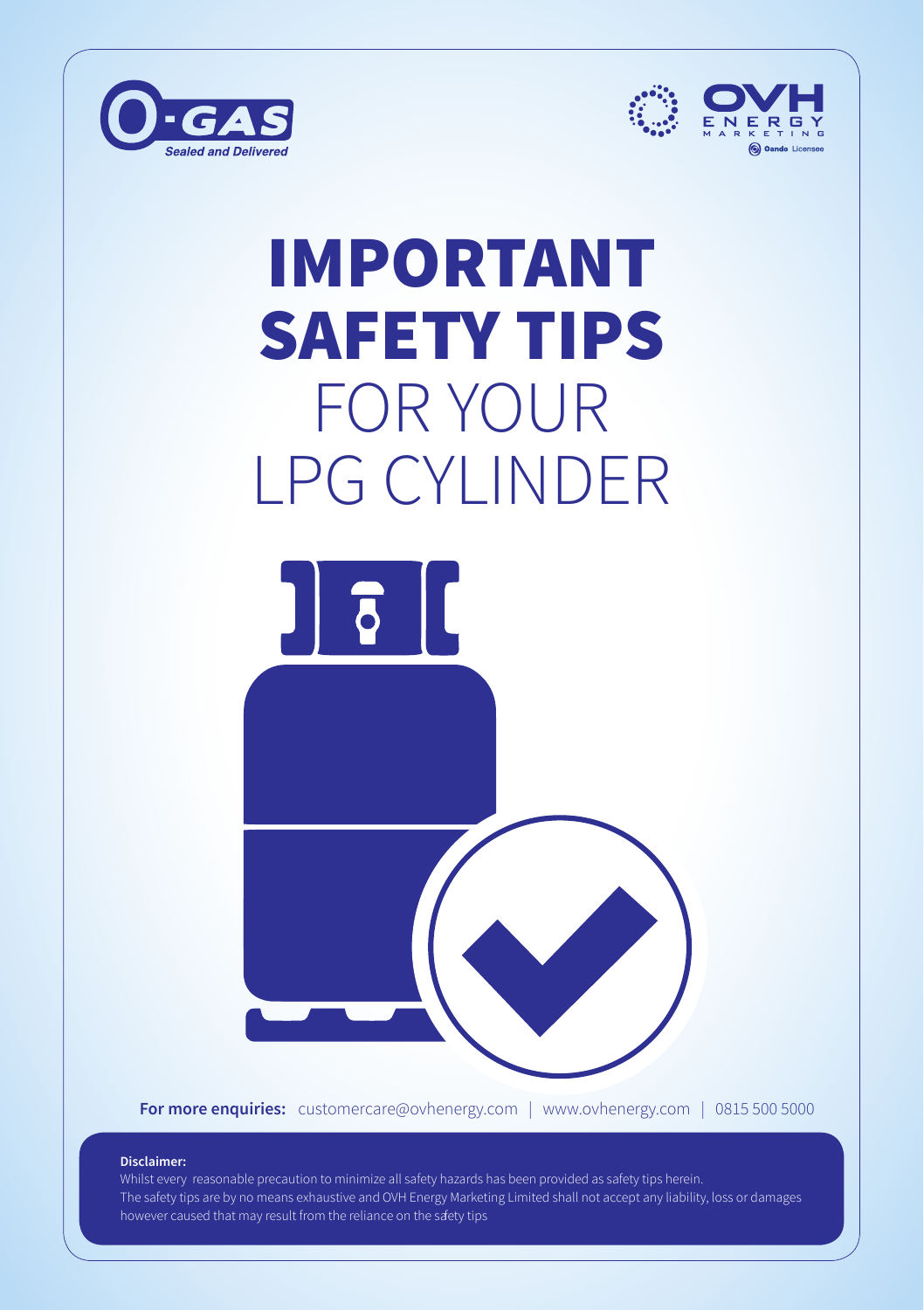



## IMPORTANT SAFETY TIPS FOR YOUR LPG CYLINDER



**For more enquiries:** customercare@ovhenergy.com | www.ovhenergy.com | 0815 500 5000

#### **Disclaimer:**

Whilst every reasonable precaution to minimize all safety hazards has been provided as safety tips herein. The safety tips are by no means exhaustive and OVH Energy Marketing Limited shall not accept any liability, loss or damages however caused that may result from the reliance on the safety tips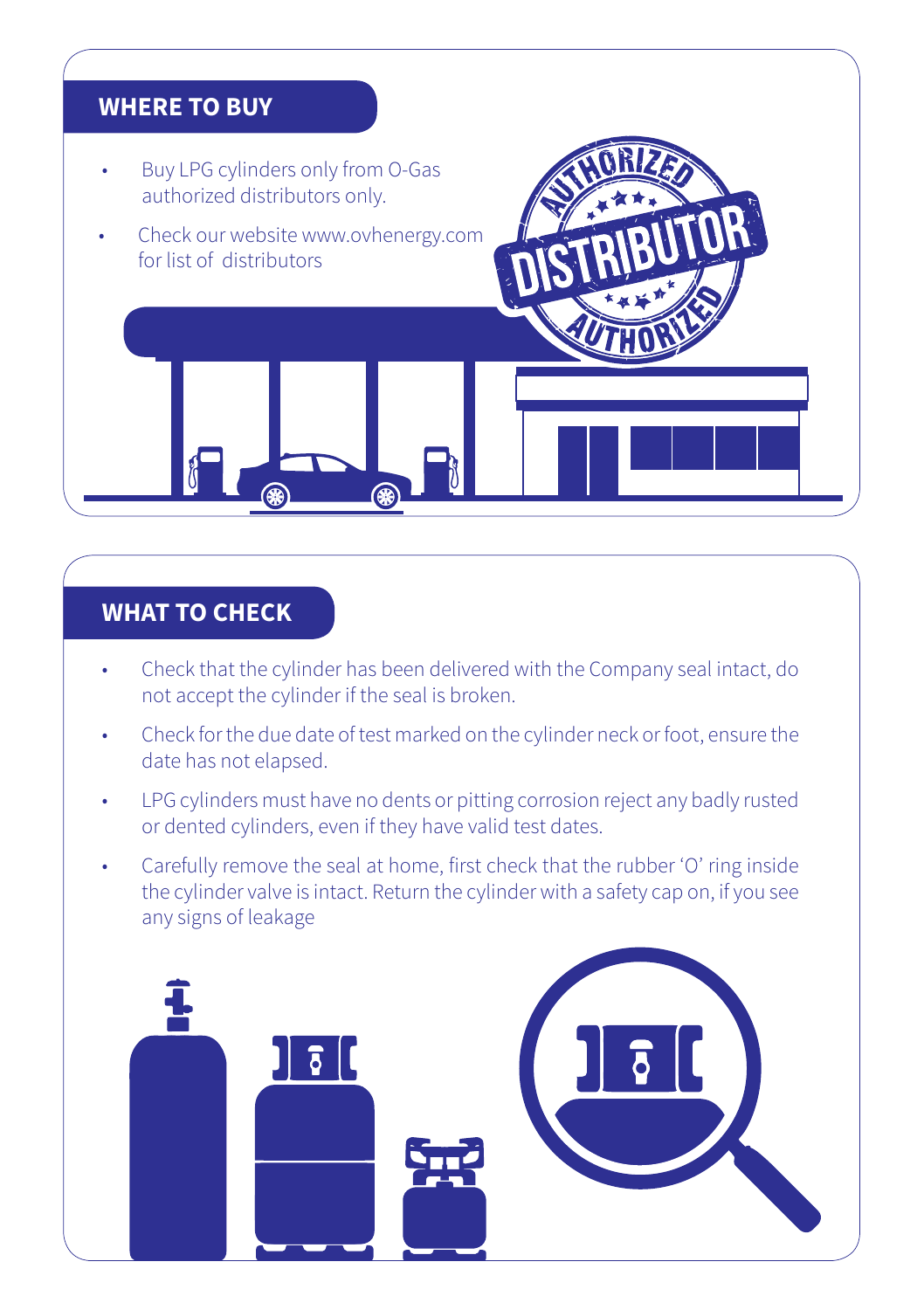# ȗ Buy LPG cylinders only from O-Gas authorized distributors only. ȗ Check our website www.ovhenergy.com for list of distributors **WHERE TO BUY**

#### **WHAT TO CHECK**

- ȗ Check that the cylinder has been delivered with the Company seal intact, do not accept the cylinder if the seal is broken.
- ȗ Check for the due date of test marked on the cylinder neck or foot, ensure the date has not elapsed.
- LPG cylinders must have no dents or pitting corrosion reject any badly rusted or dented cylinders, even if they have valid test dates.
- Carefully remove the seal at home, first check that the rubber 'O' ring inside the cylinder valve is intact. Return the cylinder with a safety cap on, if you see any signs of leakage

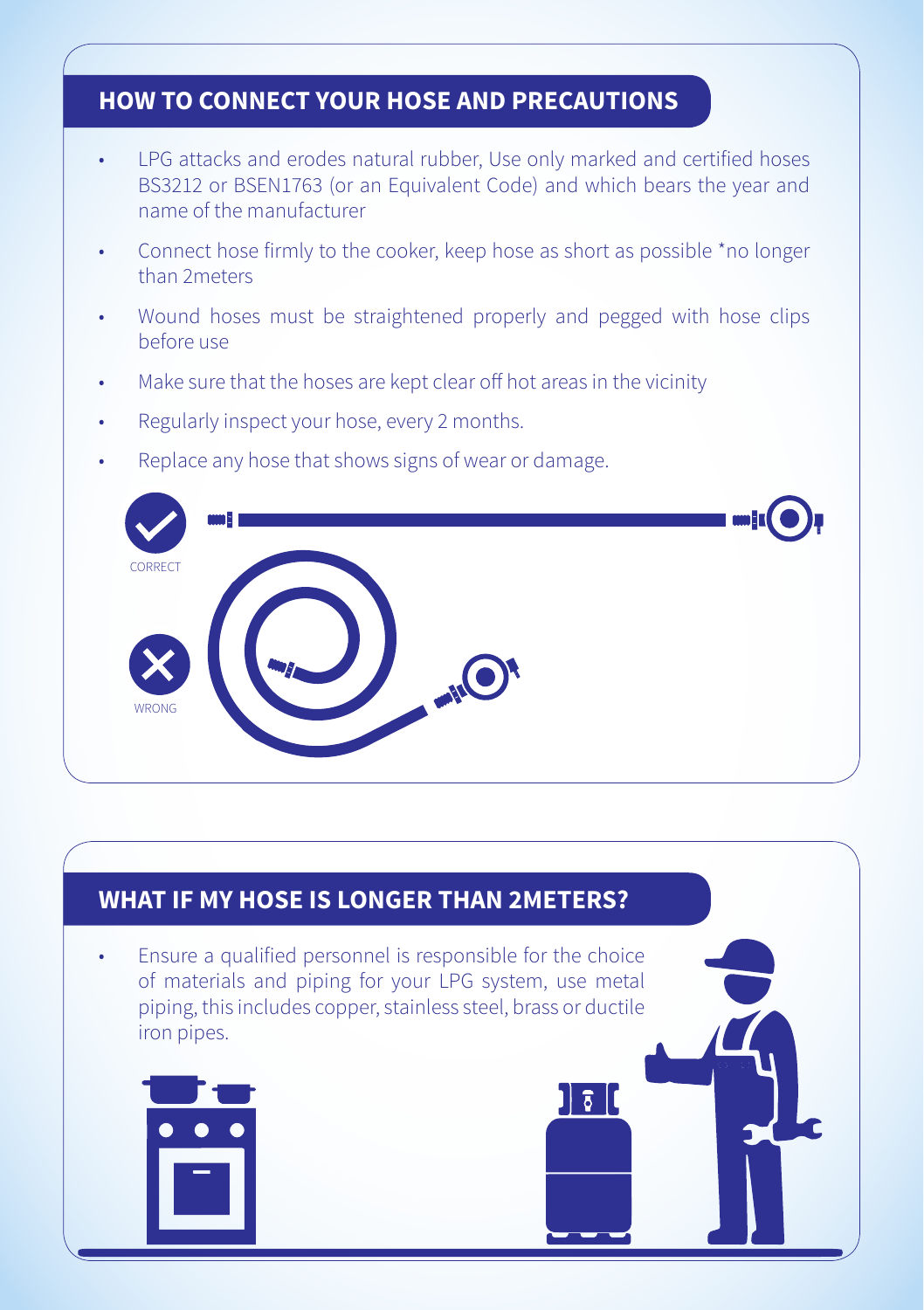#### **HOW TO CONNECT YOUR HOSE AND PRECAUTIONS**

- ȗ LPG attacks and erodes natural rubber, Use only marked and certified hoses BS3212 or BSEN1763 (or an Equivalent Code) and which bears the year and name of the manufacturer
- Connect hose firmly to the cooker, keep hose as short as possible \*no longer than 2meters
- Wound hoses must be straightened properly and pegged with hose clips before use
- Make sure that the hoses are kept clear off hot areas in the vicinity
- Regularly inspect your hose, every 2 months.
- Replace any hose that shows signs of wear or damage.



 $\overline{\delta}$ 

#### **WHAT IF MY HOSE IS LONGER THAN 2METERS?**

ȗ Ensure a qualified personnel is responsible for the choice of materials and piping for your LPG system, use metal piping, this includes copper, stainless steel, brass or ductile iron pipes.

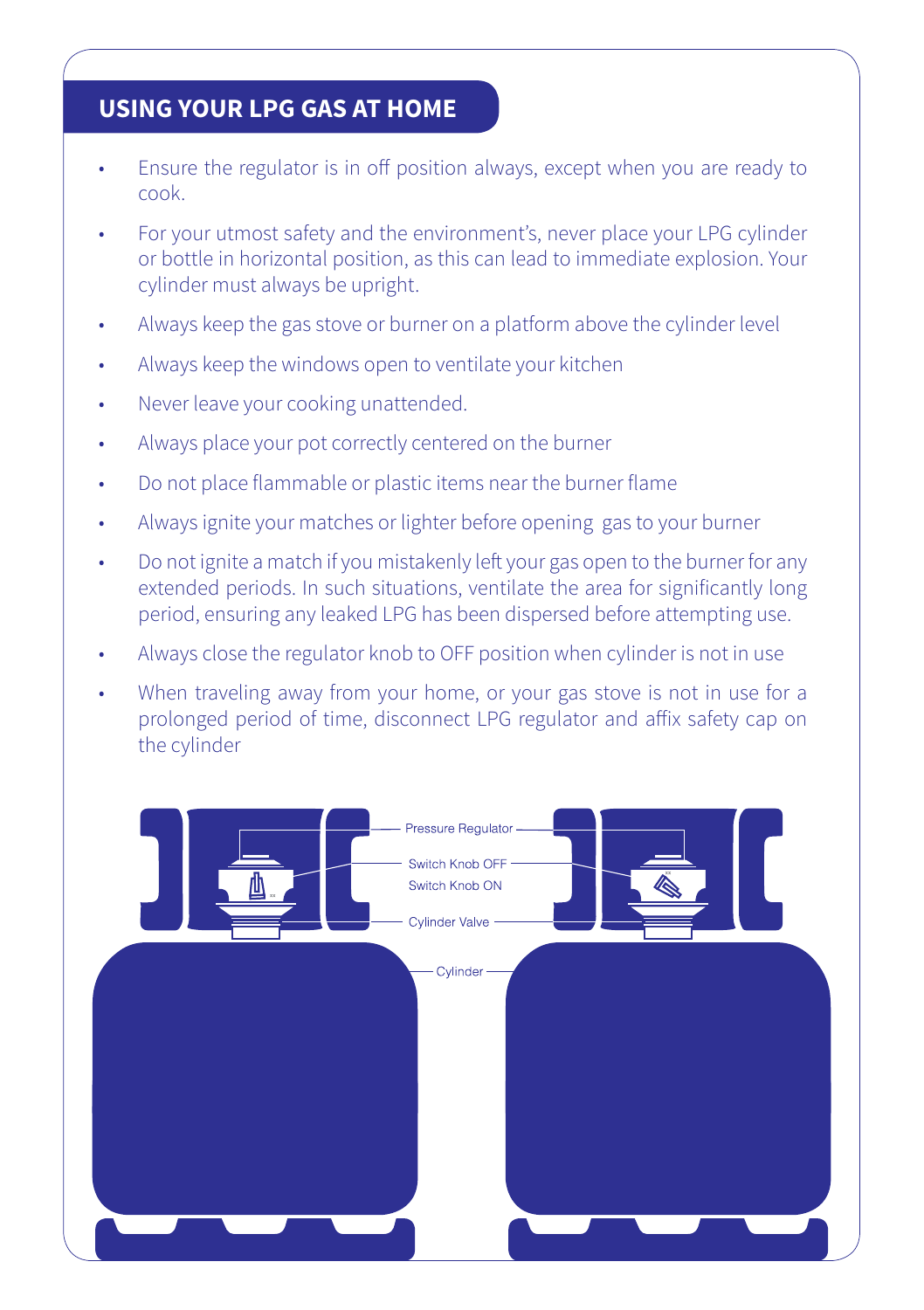#### **USING YOUR LPG GAS AT HOME**

- Ensure the regulator is in off position always, except when you are ready to cook.
- ȗ For your utmost safety and the environment's, never place your LPG cylinder or bottle in horizontal position, as this can lead to immediate explosion. Your cylinder must always be upright.
- Always keep the gas stove or burner on a platform above the cylinder level
- ȗ Always keep the windows open to ventilate your kitchen
- Never leave your cooking unattended.
- Always place your pot correctly centered on the burner
- ȗ Do not place flammable or plastic items near the burner flame
- ȗ Always ignite your matches or lighter before opening gas to your burner
- Do not ignite a match if you mistakenly left your gas open to the burner for any extended periods. In such situations, ventilate the area for significantly long period, ensuring any leaked LPG has been dispersed before attempting use.
- ȗ Always close the regulator knob to OFF position when cylinder is not in use
- When traveling away from your home, or your gas stove is not in use for a prolonged period of time, disconnect LPG regulator and affix safety cap on the cylinder

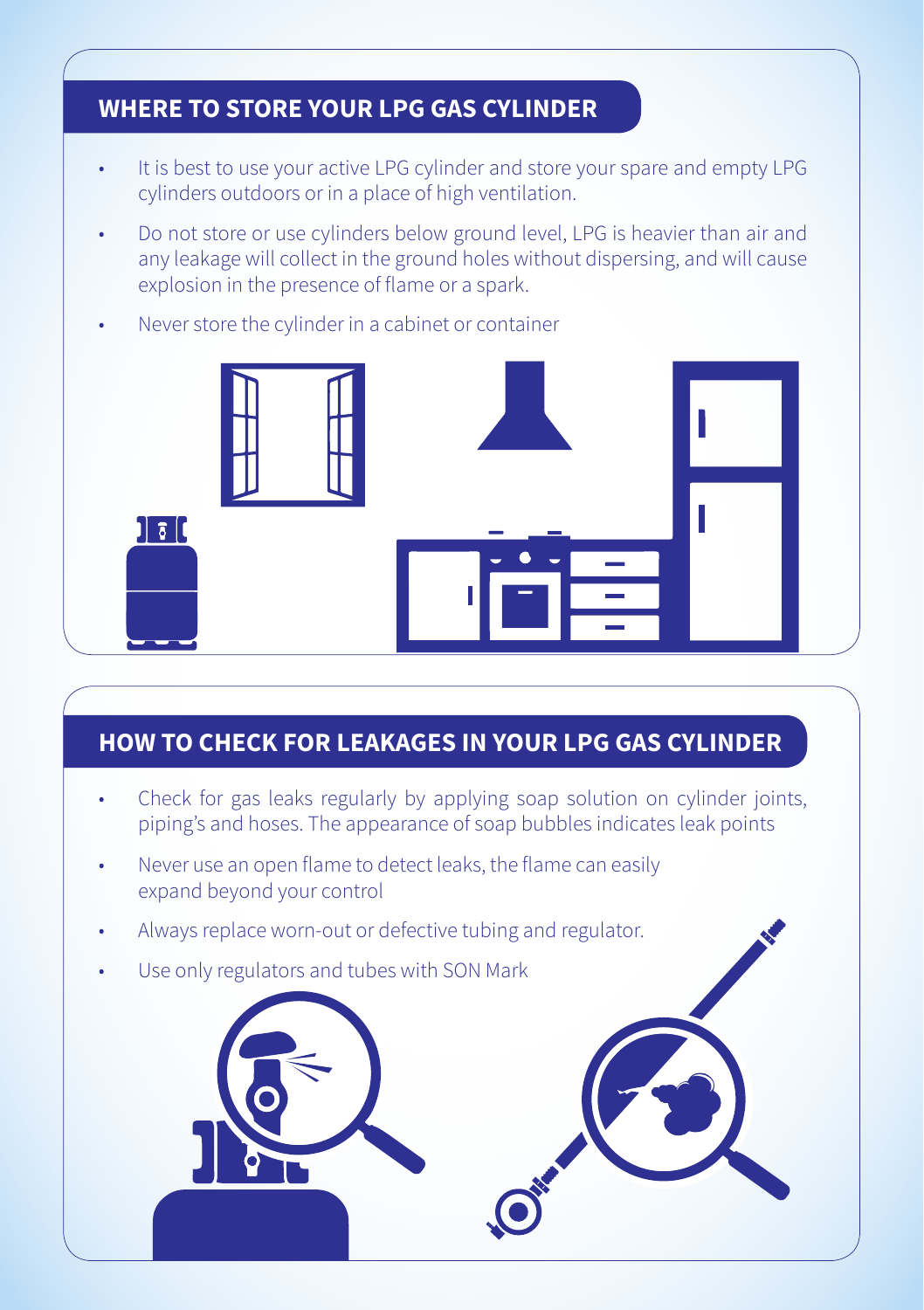#### **WHERE TO STORE YOUR LPG GAS CYLINDER**

- It is best to use your active LPG cylinder and store your spare and empty LPG cylinders outdoors or in a place of high ventilation.
- Do not store or use cylinders below ground level, LPG is heavier than air and any leakage will collect in the ground holes without dispersing, and will cause explosion in the presence of flame or a spark.
- Never store the cylinder in a cabinet or container



#### **HOW TO CHECK FOR LEAKAGES IN YOUR LPG GAS CYLINDER**

- Check for gas leaks regularly by applying soap solution on cylinder joints, piping's and hoses. The appearance of soap bubbles indicates leak points
- Never use an open flame to detect leaks, the flame can easily expand beyond your control
- Always replace worn-out or defective tubing and regulator.
- Use only regulators and tubes with SON Mark

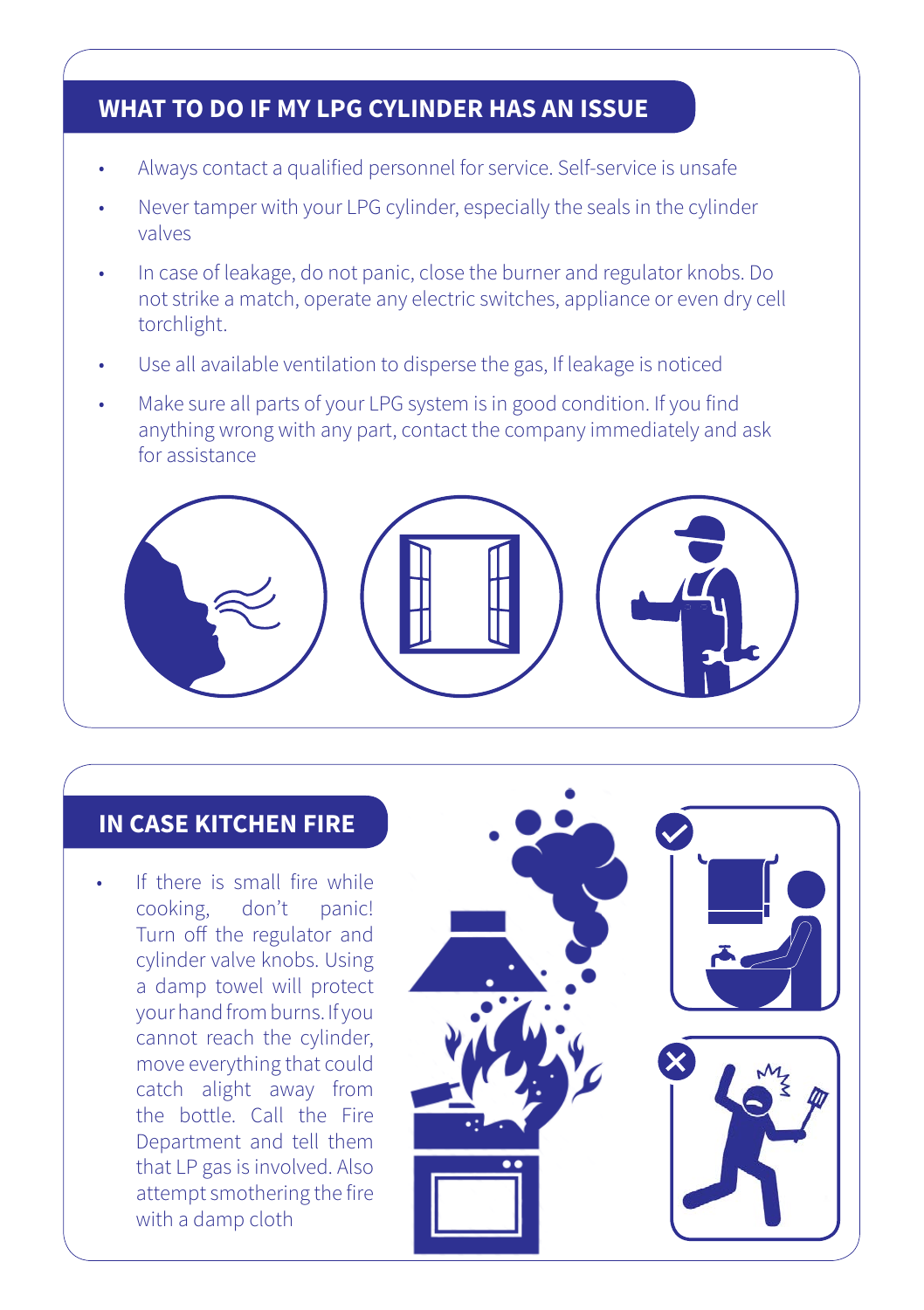#### **WHAT TO DO IF MY LPG CYLINDER HAS AN ISSUE**

- ȗ Always contact a qualified personnel for service. Self-service is unsafe
- Never tamper with your LPG cylinder, especially the seals in the cylinder valves
- ȗ In case of leakage, do not panic, close the burner and regulator knobs. Do not strike a match, operate any electric switches, appliance or even dry cell torchlight.
- Use all available ventilation to disperse the gas, If leakage is noticed
- Make sure all parts of your LPG system is in good condition. If you find anything wrong with any part, contact the company immediately and ask for assistance



#### **IN CASE KITCHEN FIRE**

If there is small fire while cooking, don't panic! Turn off the regulator and cylinder valve knobs. Using a damp towel will protect your hand from burns. If you cannot reach the cylinder, move everything that could catch alight away from the bottle. Call the Fire Department and tell them that LP gas is involved. Also attempt smothering the fire with a damp cloth